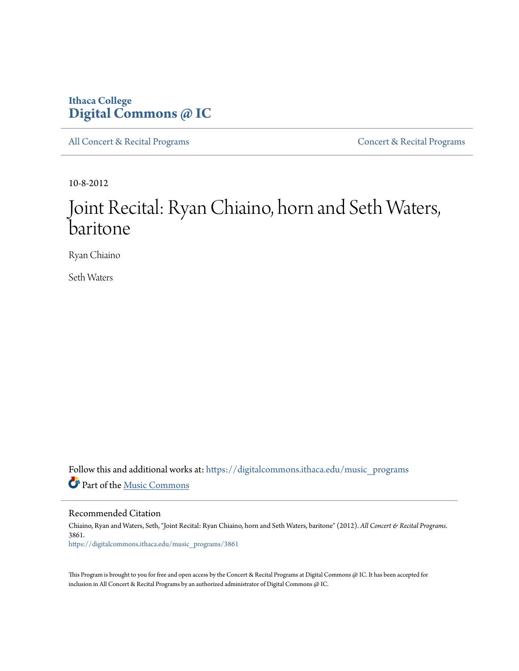## **Ithaca College [Digital Commons @ IC](https://digitalcommons.ithaca.edu?utm_source=digitalcommons.ithaca.edu%2Fmusic_programs%2F3861&utm_medium=PDF&utm_campaign=PDFCoverPages)**

[All Concert & Recital Programs](https://digitalcommons.ithaca.edu/music_programs?utm_source=digitalcommons.ithaca.edu%2Fmusic_programs%2F3861&utm_medium=PDF&utm_campaign=PDFCoverPages) **[Concert & Recital Programs](https://digitalcommons.ithaca.edu/som_programs?utm_source=digitalcommons.ithaca.edu%2Fmusic_programs%2F3861&utm_medium=PDF&utm_campaign=PDFCoverPages)** 

10-8-2012

## Joint Recital: Ryan Chiaino, horn and Seth Waters, baritone

Ryan Chiaino

Seth Waters

Follow this and additional works at: [https://digitalcommons.ithaca.edu/music\\_programs](https://digitalcommons.ithaca.edu/music_programs?utm_source=digitalcommons.ithaca.edu%2Fmusic_programs%2F3861&utm_medium=PDF&utm_campaign=PDFCoverPages) Part of the [Music Commons](http://network.bepress.com/hgg/discipline/518?utm_source=digitalcommons.ithaca.edu%2Fmusic_programs%2F3861&utm_medium=PDF&utm_campaign=PDFCoverPages)

Recommended Citation

Chiaino, Ryan and Waters, Seth, "Joint Recital: Ryan Chiaino, horn and Seth Waters, baritone" (2012). *All Concert & Recital Programs*. 3861. [https://digitalcommons.ithaca.edu/music\\_programs/3861](https://digitalcommons.ithaca.edu/music_programs/3861?utm_source=digitalcommons.ithaca.edu%2Fmusic_programs%2F3861&utm_medium=PDF&utm_campaign=PDFCoverPages)

This Program is brought to you for free and open access by the Concert & Recital Programs at Digital Commons @ IC. It has been accepted for inclusion in All Concert & Recital Programs by an authorized administrator of Digital Commons @ IC.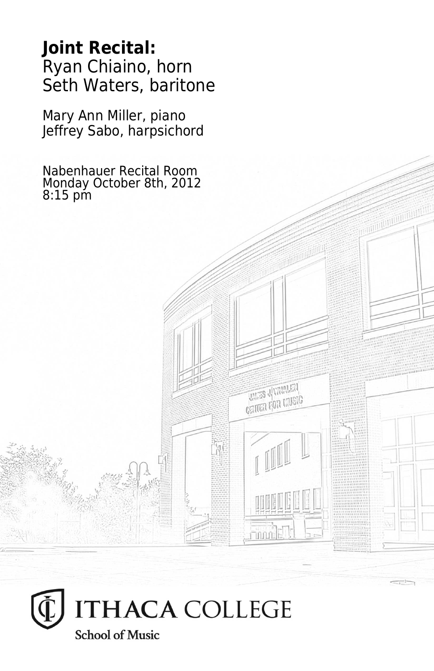